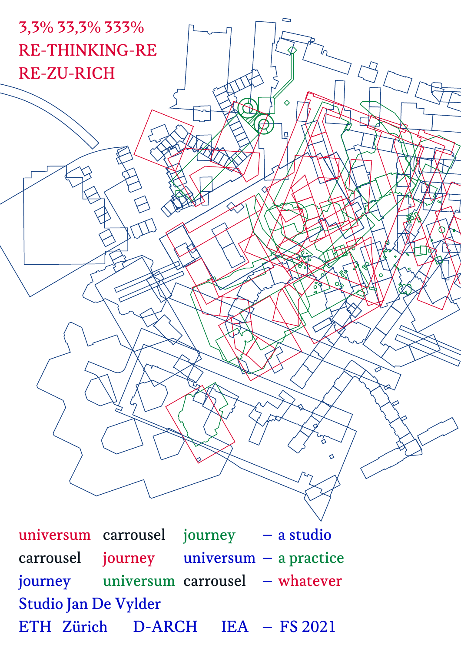

universum carrousel journey – a studio carrousel journey universum – a practice journey universum carrousel – whatever Studio Jan De Vylder ETH Zürich D-ARCH IEA – FS 2021